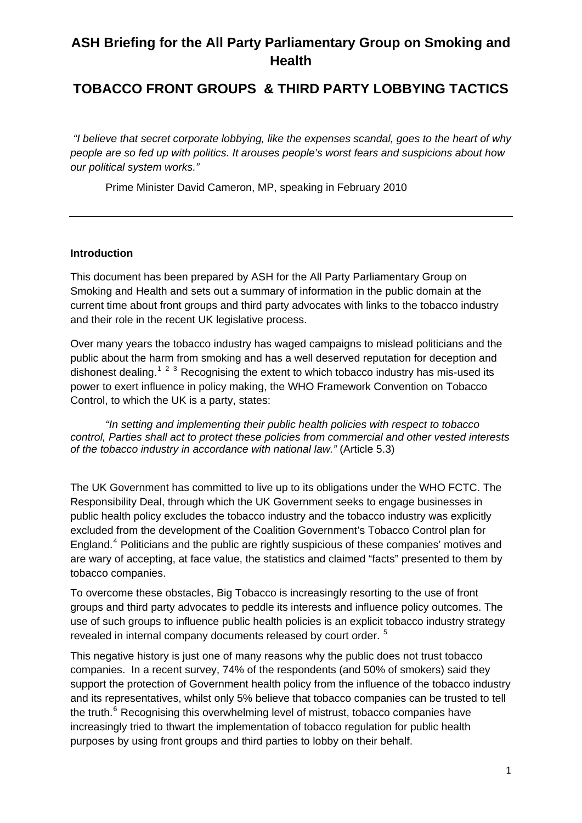# **ASH Briefing for the All Party Parliamentary Group on Smoking and Health**

## **TOBACCO FRONT GROUPS & THIRD PARTY LOBBYING TACTICS**

 *"I believe that secret corporate lobbying, like the expenses scandal, goes to the heart of why people are so fed up with politics. It arouses people's worst fears and suspicions about how our political system works."* 

Prime Minister David Cameron, MP, speaking in February 2010

#### **Introduction**

This document has been prepared by ASH for the All Party Parliamentary Group on Smoking and Health and sets out a summary of information in the public domain at the current time about front groups and third party advocates with links to the tobacco industry and their role in the recent UK legislative process.

Over many years the tobacco industry has waged campaigns to mislead politicians and the public about the harm from smoking and has a well deserved reputation for deception and dishonest dealing.<sup>[1](#page-14-0)[2](#page-14-1)[3](#page-14-1)</sup> Recognising the extent to which tobacco industry has mis-used its power to exert influence in policy making, the WHO Framework Convention on Tobacco Control, to which the UK is a party, states:

*"In setting and implementing their public health policies with respect to tobacco control, Parties shall act to protect these policies from commercial and other vested interests of the tobacco industry in accordance with national law."* (Article 5.3)

The UK Government has committed to live up to its obligations under the WHO FCTC. The Responsibility Deal, through which the UK Government seeks to engage businesses in public health policy excludes the tobacco industry and the tobacco industry was explicitly excluded from the development of the Coalition Government's Tobacco Control plan for England.<sup>[4](#page-14-1)</sup> Politicians and the public are rightly suspicious of these companies' motives and are wary of accepting, at face value, the statistics and claimed "facts" presented to them by tobacco companies.

To overcome these obstacles, Big Tobacco is increasingly resorting to the use of front groups and third party advocates to peddle its interests and influence policy outcomes. The use of such groups to influence public health policies is an explicit tobacco industry strategy revealed in internal company documents released by court order.<sup>[5](#page-14-1)</sup>

<span id="page-0-0"></span>This negative history is just one of many reasons why the public does not trust tobacco companies. In a recent survey, 74% of the respondents (and 50% of smokers) said they support the protection of Government health policy from the influence of the tobacco industry and its representatives, whilst only 5% believe that tobacco companies can be trusted to tell the truth.<sup>[6](#page-14-1)</sup> Recognising this overwhelming level of mistrust, tobacco companies have increasingly tried to thwart the implementation of tobacco regulation for public health purposes by using front groups and third parties to lobby on their behalf.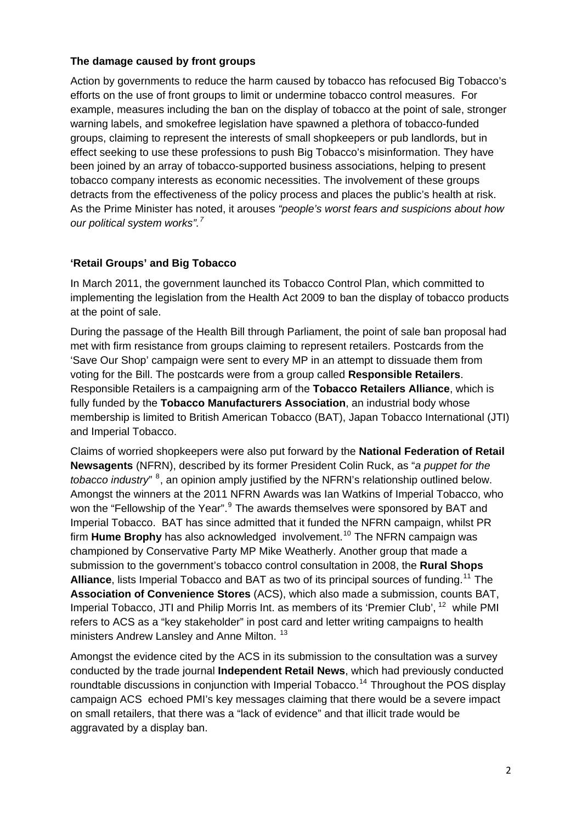#### **The damage caused by front groups**

Action by governments to reduce the harm caused by tobacco has refocused Big Tobacco's efforts on the use of front groups to limit or undermine tobacco control measures. For example, measures including the ban on the display of tobacco at the point of sale, stronger warning labels, and smokefree legislation have spawned a plethora of tobacco-funded groups, claiming to represent the interests of small shopkeepers or pub landlords, but in effect seeking to use these professions to push Big Tobacco's misinformation. They have been joined by an array of tobacco-supported business associations, helping to present tobacco company interests as economic necessities. The involvement of these groups detracts from the effectiveness of the policy process and places the public's health at risk. As the Prime Minister has noted, it arouses *"people's worst fears and suspicions about how our political system works".[7](#page-14-1)*

## **'Retail Groups' and Big Tobacco**

In March 2011, the government launched its Tobacco Control Plan, which committed to implementing the legislation from the Health Act 2009 to ban the display of tobacco products at the point of sale.

During the passage of the Health Bill through Parliament, the point of sale ban proposal had met with firm resistance from groups claiming to represent retailers. Postcards from the 'Save Our Shop' campaign were sent to every MP in an attempt to dissuade them from voting for the Bill. The postcards were from a group called **Responsible Retailers**. Responsible Retailers is a campaigning arm of the **Tobacco Retailers Alliance**, which is fully funded by the **Tobacco Manufacturers Association**, an industrial body whose membership is limited to British American Tobacco (BAT), Japan Tobacco International (JTI) and Imperial Tobacco.

Claims of worried shopkeepers were also put forward by the **National Federation of Retail Newsagents** (NFRN), described by its former President Colin Ruck, as "*a puppet for the tobacco industry*" <sup>[8](#page-14-1)</sup>, an opinion amply justified by the NFRN's relationship outlined below. Amongst the winners at the 2011 NFRN Awards was Ian Watkins of Imperial Tobacco, who won the "Fellowship of the Year".<sup>[9](#page-14-1)</sup> The awards themselves were sponsored by BAT and Imperial Tobacco. BAT has since admitted that it funded the NFRN campaign, whilst PR firm **Hume Brophy** has also acknowledged involvement.<sup>[10](#page-14-1)</sup> The NFRN campaign was championed by Conservative Party MP Mike Weatherly. Another group that made a submission to the government's tobacco control consultation in 2008, the **Rural Shops**  Alliance, lists Imperial Tobacco and BAT as two of its principal sources of funding.<sup>[11](#page-14-1)</sup> The **Association of Convenience Stores** (ACS), which also made a submission, counts BAT, Imperial Tobacco, JTI and Philip Morris Int. as members of its 'Premier Club', <sup>[12](#page-14-1)</sup> while PMI refers to ACS as a "key stakeholder" in post card and letter writing campaigns to health ministers Andrew Lansley and Anne Milton.<sup>[13](#page-14-1)</sup>

<span id="page-1-0"></span>Amongst the evidence cited by the ACS in its submission to the consultation was a survey conducted by the trade journal **Independent Retail News**, which had previously conducted roundtable discussions in conjunction with Imperial Tobacco.<sup>[14](#page-14-1)</sup> Throughout the POS display campaign ACS echoed PMI's key messages claiming that there would be a severe impact on small retailers, that there was a "lack of evidence" and that illicit trade would be aggravated by a display ban.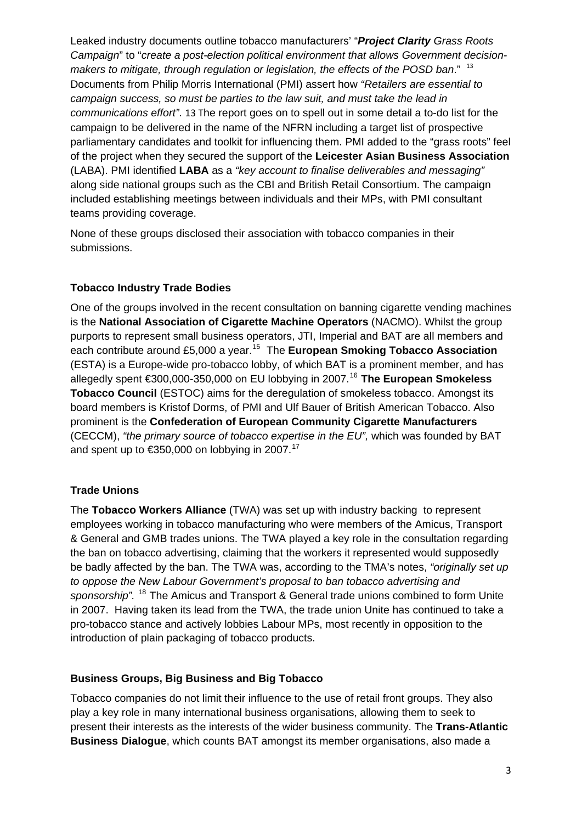Leaked industry documents outline tobacco manufacturers' "*Project Clarity Grass Roots Campaign*" to "*create a post-election political environment that allows Government decisionmakers to mitigate, through regulation or legislation, the effects of the POSD ban.*" <sup>[13](#page-1-0)</sup> Documents from Philip Morris International (PMI) assert how *"Retailers are essential to campaign success, so must be parties to the law suit, and must take the lead in communications effort"*. [13](#page-1-0) The report goes on to spell out in some detail a to-do list for the campaign to be delivered in the name of the NFRN including a target list of prospective parliamentary candidates and toolkit for influencing them. PMI added to the "grass roots" feel of the project when they secured the support of the **Leicester Asian Business Association** (LABA). PMI identified **LABA** as a *"key account to finalise deliverables and messaging"* along side national groups such as the CBI and British Retail Consortium. The campaign included establishing meetings between individuals and their MPs, with PMI consultant teams providing coverage.

None of these groups disclosed their association with tobacco companies in their submissions.

## **Tobacco Industry Trade Bodies**

One of the groups involved in the recent consultation on banning cigarette vending machines is the **National Association of Cigarette Machine Operators** (NACMO). Whilst the group purports to represent small business operators, JTI, Imperial and BAT are all members and each contribute around £5,000 a year.[15](#page-14-1) The **European Smoking Tobacco Association** (ESTA) is a Europe-wide pro-tobacco lobby, of which BAT is a prominent member, and has allegedly spent €300,000-350,000 on EU lobbying in 2007.[16](#page-14-1) **The European Smokeless Tobacco Council** (ESTOC) aims for the deregulation of smokeless tobacco. Amongst its board members is Kristof Dorms, of PMI and Ulf Bauer of British American Tobacco. Also prominent is the **Confederation of European Community Cigarette Manufacturers**  (CECCM), *"the primary source of tobacco expertise in the EU",* which was founded by BAT and spent up to  $\epsilon$ 350,000 on lobbying in 2007.<sup>[17](#page-14-1)</sup>

#### **Trade Unions**

The **Tobacco Workers Alliance** (TWA) was set up with industry backing to represent employees working in tobacco manufacturing who were members of the Amicus, Transport & General and GMB trades unions. The TWA played a key role in the consultation regarding the ban on tobacco advertising, claiming that the workers it represented would supposedly be badly affected by the ban. The TWA was, according to the TMA's notes, *"originally set up to oppose the New Labour Government's proposal to ban tobacco advertising and sponsorship".* [18](#page-14-1) The Amicus and Transport & General trade unions combined to form Unite in 2007. Having taken its lead from the TWA, the trade union Unite has continued to take a pro-tobacco stance and actively lobbies Labour MPs, most recently in opposition to the introduction of plain packaging of tobacco products.

#### **Business Groups, Big Business and Big Tobacco**

Tobacco companies do not limit their influence to the use of retail front groups. They also play a key role in many international business organisations, allowing them to seek to present their interests as the interests of the wider business community. The **Trans-Atlantic Business Dialogue**, which counts BAT amongst its member organisations, also made a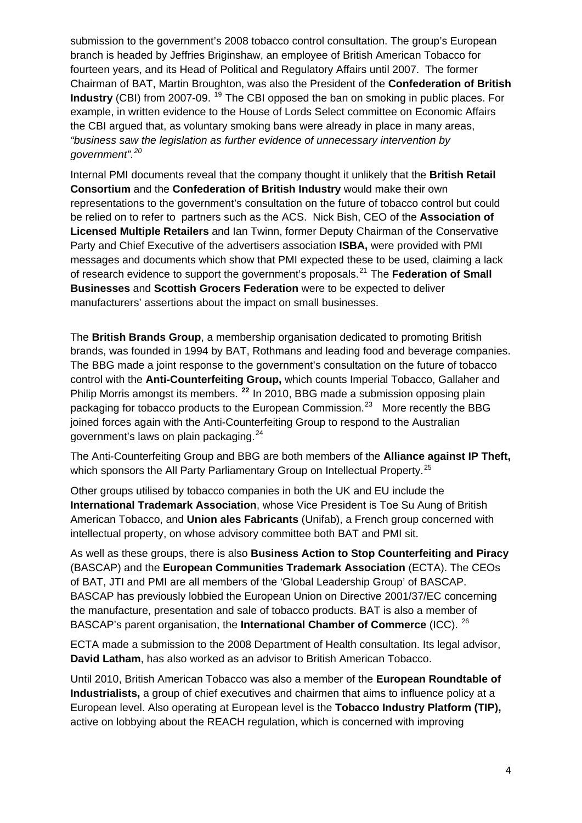submission to the government's 2008 tobacco control consultation. The group's European branch is headed by Jeffries Briginshaw, an employee of British American Tobacco for fourteen years, and its Head of Political and Regulatory Affairs until 2007. The former Chairman of BAT, Martin Broughton, was also the President of the **Confederation of British Industry** (CBI) from 2007-09. <sup>[19](#page-14-1)</sup> The CBI opposed the ban on smoking in public places. For example, in written evidence to the House of Lords Select committee on Economic Affairs the CBI argued that, as voluntary smoking bans were already in place in many areas, *"business saw the legislation as further evidence of unnecessary intervention by government".[20](#page-14-1)* 

Internal PMI documents reveal that the company thought it unlikely that the **British Retail Consortium** and the **Confederation of British Industry** would make their own representations to the government's consultation on the future of tobacco control but could be relied on to refer to partners such as the ACS. Nick Bish, CEO of the **Association of Licensed Multiple Retailers** and Ian Twinn, former Deputy Chairman of the Conservative Party and Chief Executive of the advertisers association **ISBA,** were provided with PMI messages and documents which show that PMI expected these to be used, claiming a lack of research evidence to support the government's proposals.[21](#page-14-1) The **Federation of Small Businesses** and **Scottish Grocers Federation** were to be expected to deliver manufacturers' assertions about the impact on small businesses.

The **British Brands Group**, a membership organisation dedicated to promoting British brands, was founded in 1994 by BAT, Rothmans and leading food and beverage companies. The BBG made a joint response to the government's consultation on the future of tobacco control with the **Anti-Counterfeiting Group,** which counts Imperial Tobacco, Gallaher and Philip Morris amongst its members. **[22](#page-14-1)** In 2010, BBG made a submission opposing plain packaging for tobacco products to the European Commission.<sup>[23](#page-14-1)</sup> More recently the BBG joined forces again with the Anti-Counterfeiting Group to respond to the Australian government's laws on plain packaging.[24](#page-14-1)

The Anti-Counterfeiting Group and BBG are both members of the **Alliance against IP Theft,** which sponsors the All Party Parliamentary Group on Intellectual Property.<sup>[25](#page-14-1)</sup>

Other groups utilised by tobacco companies in both the UK and EU include the **International Trademark Association**, whose Vice President is Toe Su Aung of British American Tobacco, and **Union ales Fabricants** (Unifab), a French group concerned with intellectual property, on whose advisory committee both BAT and PMI sit.

As well as these groups, there is also **Business Action to Stop Counterfeiting and Piracy** (BASCAP) and the **European Communities Trademark Association** (ECTA). The CEOs of BAT, JTI and PMI are all members of the 'Global Leadership Group' of BASCAP. BASCAP has previously lobbied the European Union on Directive 2001/37/EC concerning the manufacture, presentation and sale of tobacco products. BAT is also a member of BASCAP's parent organisation, the **International Chamber of Commerce** (ICC). [26](#page-14-1)

ECTA made a submission to the 2008 Department of Health consultation. Its legal advisor, **David Latham**, has also worked as an advisor to British American Tobacco.

Until 2010, British American Tobacco was also a member of the **European Roundtable of Industrialists,** a group of chief executives and chairmen that aims to influence policy at a European level. Also operating at European level is the **Tobacco Industry Platform (TIP),**  active on lobbying about the REACH regulation, which is concerned with improving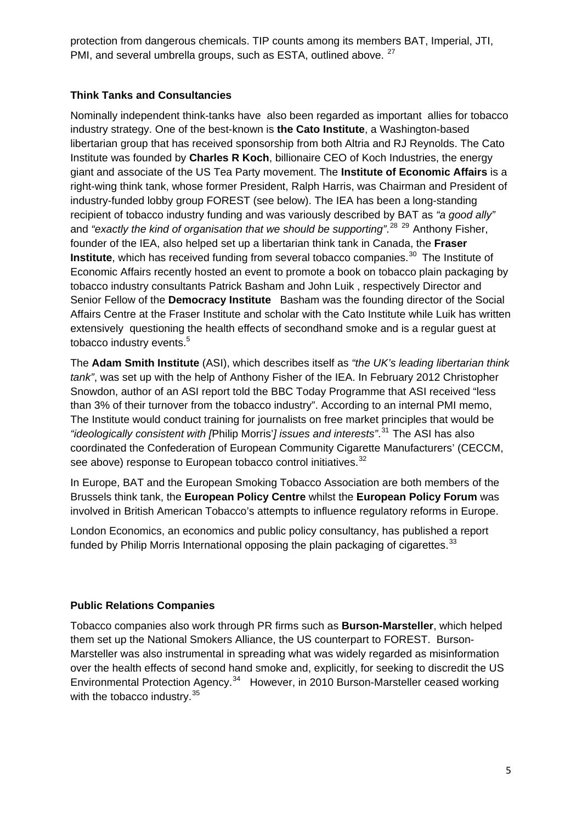protection from dangerous chemicals. TIP counts among its members BAT, Imperial, JTI, PMI, and several umbrella groups, such as ESTA, outlined above. <sup>[27](#page-14-1)</sup>

## **Think Tanks and Consultancies**

Nominally independent think-tanks have also been regarded as important allies for tobacco industry strategy. One of the best-known is **the Cato Institute**, a Washington-based libertarian group that has received sponsorship from both Altria and RJ Reynolds. The Cato Institute was founded by **Charles R Koch**, billionaire CEO of Koch Industries, the energy giant and associate of the US Tea Party movement. The **Institute of Economic Affairs** is a right-wing think tank, whose former President, Ralph Harris, was Chairman and President of industry-funded lobby group FOREST (see below). The IEA has been a long-standing recipient of tobacco industry funding and was variously described by BAT as *"a good ally"* and "exactly the kind of organisation that we should be supporting".<sup>[28](#page-14-1) [29](#page-14-1)</sup> Anthony Fisher, founder of the IEA, also helped set up a libertarian think tank in Canada, the **Fraser Institute**, which has received funding from several tobacco companies.<sup>[30](#page-14-1)</sup> The Institute of Economic Affairs recently hosted an event to promote a book on tobacco plain packaging by tobacco industry consultants Patrick Basham and John Luik , respectively Director and Senior Fellow of the **Democracy Institute** Basham was the founding director of the Social Affairs Centre at the Fraser Institute and scholar with the Cato Institute while Luik has written extensively questioning the health effects of secondhand smoke and is a regular guest at tobacco industry events.<sup>[5](#page-0-0)</sup>

The **Adam Smith Institute** (ASI), which describes itself as *"the UK's leading libertarian think tank"*, was set up with the help of Anthony Fisher of the IEA. In February 2012 Christopher Snowdon, author of an ASI report told the BBC Today Programme that ASI received "less than 3% of their turnover from the tobacco industry". According to an internal PMI memo, The Institute would conduct training for journalists on free market principles that would be *"ideologically consistent with [*Philip Morris'*] issues and interests"*. [31](#page-14-1) The ASI has also coordinated the Confederation of European Community Cigarette Manufacturers' (CECCM, see above) response to European tobacco control initiatives.<sup>[32](#page-14-1)</sup>

In Europe, BAT and the European Smoking Tobacco Association are both members of the Brussels think tank, the **European Policy Centre** whilst the **European Policy Forum** was involved in British American Tobacco's attempts to influence regulatory reforms in Europe.

London Economics, an economics and public policy consultancy, has published a report funded by Philip Morris International opposing the plain packaging of cigarettes. $33$ 

## **Public Relations Companies**

Tobacco companies also work through PR firms such as **Burson-Marsteller**, which helped them set up the National Smokers Alliance, the US counterpart to FOREST. Burson-Marsteller was also instrumental in spreading what was widely regarded as misinformation over the health effects of second hand smoke and, explicitly, for seeking to discredit the US Environmental Protection Agency.<sup>[34](#page-14-1)</sup> However, in 2010 Burson-Marsteller ceased working with the tobacco industry.<sup>[35](#page-14-1)</sup>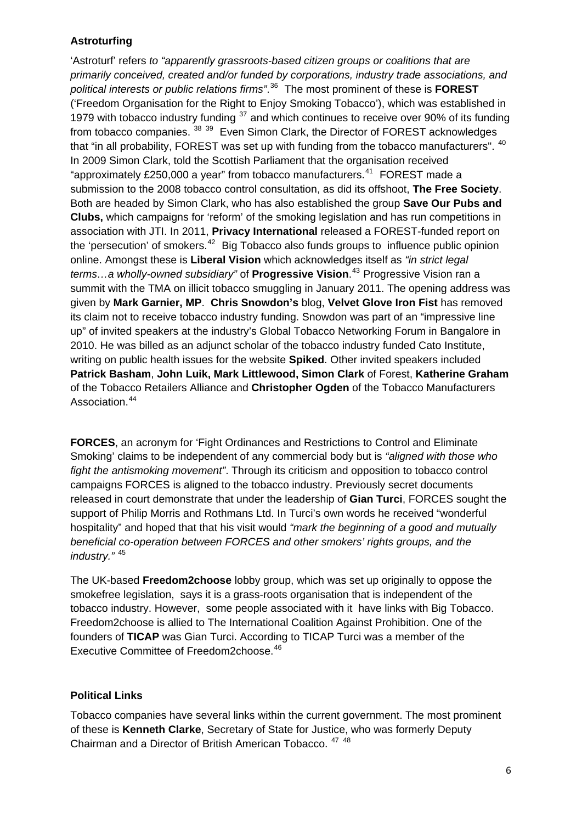## **Astroturfing**

'Astroturf' refers *to "apparently grassroots-based citizen groups or coalitions that are primarily conceived, created and/or funded by corporations, industry trade associations, and political interests or public relations firms"*. [36](#page-14-1) The most prominent of these is **FOREST** ('Freedom Organisation for the Right to Enjoy Smoking Tobacco'), which was established in 1979 with tobacco industry funding  $37$  and which continues to receive over 90% of its funding from tobacco companies. <sup>[38](#page-14-1) [39](#page-14-1)</sup> Even Simon Clark, the Director of FOREST acknowledges that "in all probability, FOREST was set up with funding from the tobacco manufacturers". <sup>[40](#page-14-1)</sup> In 2009 Simon Clark, told the Scottish Parliament that the organisation received "approximately £250,000 a year" from tobacco manufacturers. $41$  FOREST made a submission to the 2008 tobacco control consultation, as did its offshoot, **The Free Society**. Both are headed by Simon Clark, who has also established the group **Save Our Pubs and Clubs,** which campaigns for 'reform' of the smoking legislation and has run competitions in association with JTI. In 2011, **Privacy International** released a FOREST-funded report on the 'persecution' of smokers.<sup>[42](#page-14-1)</sup> Big Tobacco also funds groups to influence public opinion online. Amongst these is **Liberal Vision** which acknowledges itself as *"in strict legal terms…a wholly-owned subsidiary"* of **Progressive Vision**. [43](#page-15-0) Progressive Vision ran a summit with the TMA on illicit tobacco smuggling in January 2011. The opening address was given by **Mark Garnier, MP**. **Chris Snowdon's** blog, **Velvet Glove Iron Fist** has removed its claim not to receive tobacco industry funding. Snowdon was part of an "impressive line up" of invited speakers at the industry's Global Tobacco Networking Forum in Bangalore in 2010. He was billed as an adjunct scholar of the tobacco industry funded Cato Institute, writing on public health issues for the website **Spiked**. Other invited speakers included **Patrick Basham**, **John Luik, Mark Littlewood, Simon Clark** of Forest, **Katherine Graham** of the Tobacco Retailers Alliance and **Christopher Ogden** of the Tobacco Manufacturers Association.<sup>[44](#page-15-0)</sup>

**FORCES**, an acronym for 'Fight Ordinances and Restrictions to Control and Eliminate Smoking' claims to be independent of any commercial body but is *"aligned with those who fight the antismoking movement"*. Through its criticism and opposition to tobacco control campaigns FORCES is aligned to the tobacco industry. Previously secret documents released in court demonstrate that under the leadership of **Gian Turci**, FORCES sought the support of Philip Morris and Rothmans Ltd. In Turci's own words he received "wonderful hospitality" and hoped that that his visit would *"mark the beginning of a good and mutually beneficial co-operation between FORCES and other smokers' rights groups, and the industry."* [45](#page-15-0)

The UK-based **Freedom2choose** lobby group, which was set up originally to oppose the smokefree legislation, says it is a grass-roots organisation that is independent of the tobacco industry. However, some people associated with it have links with Big Tobacco. Freedom2choose is allied to The International Coalition Against Prohibition. One of the founders of **TICAP** was Gian Turci. According to TICAP Turci was a member of the Executive Committee of Freedom2choose.<sup>[46](#page-15-0)</sup>

## **Political Links**

Tobacco companies have several links within the current government. The most prominent of these is **Kenneth Clarke**, Secretary of State for Justice, who was formerly Deputy Chairman and a Director of British American Tobacco. [47](#page-15-0) [48](#page-15-0)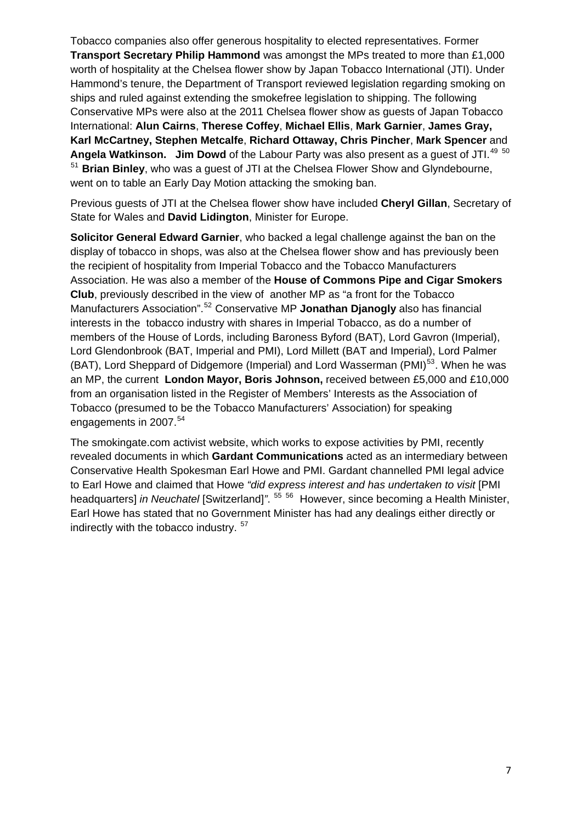Tobacco companies also offer generous hospitality to elected representatives. Former **Transport Secretary Philip Hammond** was amongst the MPs treated to more than £1,000 worth of hospitality at the Chelsea flower show by Japan Tobacco International (JTI). Under Hammond's tenure, the Department of Transport reviewed legislation regarding smoking on ships and ruled against extending the smokefree legislation to shipping. The following Conservative MPs were also at the 2011 Chelsea flower show as guests of Japan Tobacco International: **Alun Cairns**, **Therese Coffey**, **Michael Ellis**, **Mark Garnier**, **James Gray, Karl McCartney, Stephen Metcalfe**, **Richard Ottaway, Chris Pincher**, **Mark Spencer** and Angela Watkinson. Jim Dowd of the Labour Party was also present as a quest of JTI.<sup>[49](#page-15-0) [50](#page-15-0)</sup> [51](#page-15-0) **Brian Binley**, who was a guest of JTI at the Chelsea Flower Show and Glyndebourne, went on to table an Early Day Motion attacking the smoking ban.

Previous guests of JTI at the Chelsea flower show have included **Cheryl Gillan**, Secretary of State for Wales and **David Lidington**, Minister for Europe.

**Solicitor General Edward Garnier**, who backed a legal challenge against the ban on the display of tobacco in shops, was also at the Chelsea flower show and has previously been the recipient of hospitality from Imperial Tobacco and the Tobacco Manufacturers Association. He was also a member of the **House of Commons Pipe and Cigar Smokers Club**, previously described in the view of another MP as "a front for the Tobacco Manufacturers Association".[52](#page-15-0) Conservative MP **Jonathan Djanogly** also has financial interests in the tobacco industry with shares in Imperial Tobacco, as do a number of members of the House of Lords, including Baroness Byford (BAT), Lord Gavron (Imperial), Lord Glendonbrook (BAT, Imperial and PMI), Lord Millett (BAT and Imperial), Lord Palmer (BAT), Lord Sheppard of Didgemore (Imperial) and Lord Wasserman (PMI)<sup>[53](#page-15-0)</sup>. When he was an MP, the current **London Mayor, Boris Johnson,** received between £5,000 and £10,000 from an organisation listed in the Register of Members' Interests as the Association of Tobacco (presumed to be the Tobacco Manufacturers' Association) for speaking engagements in 2007.<sup>[54](#page-15-0)</sup>

The smokingate.com activist website, which works to expose activities by PMI, recently revealed documents in which **Gardant Communications** acted as an intermediary between Conservative Health Spokesman Earl Howe and PMI. Gardant channelled PMI legal advice to Earl Howe and claimed that Howe *"did express interest and has undertaken to visit* [PMI headquarters] *in Neuchatel* [Switzerland]*"*. [55](#page-15-0) [56](#page-15-0) However, since becoming a Health Minister, Earl Howe has stated that no Government Minister has had any dealings either directly or indirectly with the tobacco industry. [57](#page-15-0)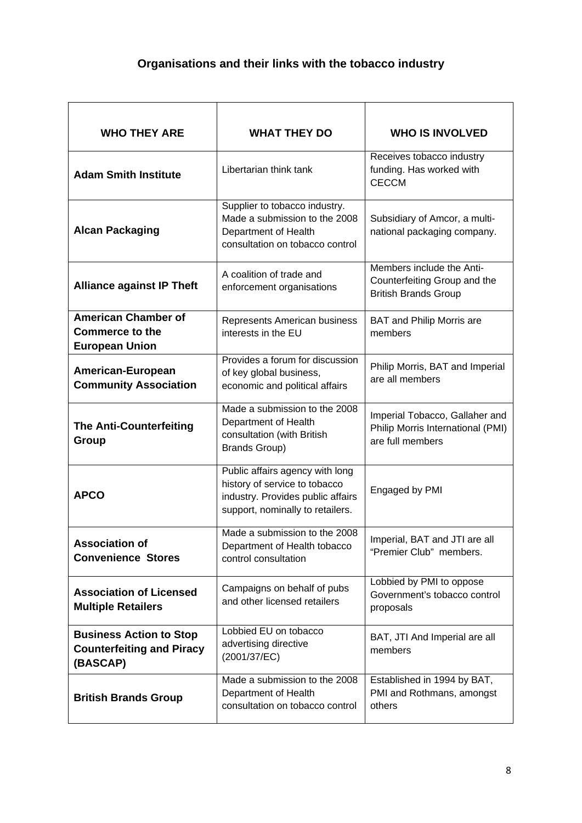| <b>WHO THEY ARE</b>                                                            | <b>WHAT THEY DO</b>                                                                                                                                            | <b>WHO IS INVOLVED</b>                                                                   |  |
|--------------------------------------------------------------------------------|----------------------------------------------------------------------------------------------------------------------------------------------------------------|------------------------------------------------------------------------------------------|--|
| <b>Adam Smith Institute</b>                                                    | Libertarian think tank                                                                                                                                         | Receives tobacco industry<br>funding. Has worked with<br><b>CECCM</b>                    |  |
| <b>Alcan Packaging</b>                                                         | Supplier to tobacco industry.<br>Made a submission to the 2008<br>Department of Health<br>consultation on tobacco control                                      | Subsidiary of Amcor, a multi-<br>national packaging company.                             |  |
| <b>Alliance against IP Theft</b>                                               | A coalition of trade and<br>enforcement organisations                                                                                                          | Members include the Anti-<br>Counterfeiting Group and the<br><b>British Brands Group</b> |  |
| <b>American Chamber of</b><br><b>Commerce to the</b><br><b>European Union</b>  | Represents American business<br><b>BAT and Philip Morris are</b><br>interests in the EU<br>members                                                             |                                                                                          |  |
| American-European<br><b>Community Association</b>                              | Provides a forum for discussion<br>of key global business,<br>economic and political affairs                                                                   | Philip Morris, BAT and Imperial<br>are all members                                       |  |
| <b>The Anti-Counterfeiting</b><br>Group                                        | Made a submission to the 2008<br>Department of Health<br>consultation (with British<br><b>Brands Group)</b>                                                    | Imperial Tobacco, Gallaher and<br>Philip Morris International (PMI)<br>are full members  |  |
| <b>APCO</b>                                                                    | Public affairs agency with long<br>history of service to tobacco<br>Engaged by PMI<br>industry. Provides public affairs<br>support, nominally to retailers.    |                                                                                          |  |
| <b>Association of</b><br><b>Convenience Stores</b>                             | Made a submission to the 2008<br>Imperial, BAT and JTI are all<br>Department of Health tobacco<br>"Premier Club" members.<br>control consultation              |                                                                                          |  |
| <b>Association of Licensed</b><br><b>Multiple Retailers</b>                    | Lobbied by PMI to oppose<br>Campaigns on behalf of pubs<br>Government's tobacco control<br>and other licensed retailers<br>proposals                           |                                                                                          |  |
| <b>Business Action to Stop</b><br><b>Counterfeiting and Piracy</b><br>(BASCAP) | Lobbied EU on tobacco<br>BAT, JTI And Imperial are all<br>advertising directive<br>members<br>(2001/37/EC)                                                     |                                                                                          |  |
| <b>British Brands Group</b>                                                    | Made a submission to the 2008<br>Established in 1994 by BAT,<br>Department of Health<br>PMI and Rothmans, amongst<br>consultation on tobacco control<br>others |                                                                                          |  |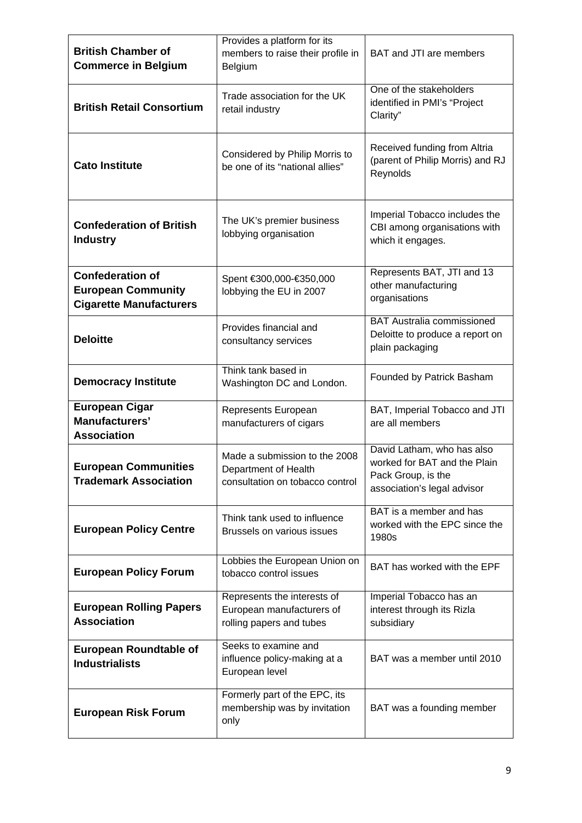| <b>British Chamber of</b><br><b>Commerce in Belgium</b>                                | Provides a platform for its<br>members to raise their profile in<br>Belgium                                                                                                                                 | BAT and JTI are members                                                                 |  |
|----------------------------------------------------------------------------------------|-------------------------------------------------------------------------------------------------------------------------------------------------------------------------------------------------------------|-----------------------------------------------------------------------------------------|--|
| <b>British Retail Consortium</b>                                                       | Trade association for the UK<br>retail industry                                                                                                                                                             | One of the stakeholders<br>identified in PMI's "Project<br>Clarity"                     |  |
| <b>Cato Institute</b>                                                                  | Considered by Philip Morris to<br>be one of its "national allies"                                                                                                                                           | Received funding from Altria<br>(parent of Philip Morris) and RJ<br>Reynolds            |  |
| <b>Confederation of British</b><br><b>Industry</b>                                     | Imperial Tobacco includes the<br>The UK's premier business<br>CBI among organisations with<br>lobbying organisation<br>which it engages.                                                                    |                                                                                         |  |
| <b>Confederation of</b><br><b>European Community</b><br><b>Cigarette Manufacturers</b> | Represents BAT, JTI and 13<br>Spent €300,000-€350,000<br>other manufacturing<br>lobbying the EU in 2007<br>organisations                                                                                    |                                                                                         |  |
| <b>Deloitte</b>                                                                        | Provides financial and<br>consultancy services                                                                                                                                                              | <b>BAT Australia commissioned</b><br>Deloitte to produce a report on<br>plain packaging |  |
| <b>Democracy Institute</b>                                                             | Think tank based in<br>Founded by Patrick Basham<br>Washington DC and London.                                                                                                                               |                                                                                         |  |
| <b>European Cigar</b><br>Manufacturers'<br><b>Association</b>                          | BAT, Imperial Tobacco and JTI<br>Represents European<br>manufacturers of cigars<br>are all members                                                                                                          |                                                                                         |  |
| <b>European Communities</b><br><b>Trademark Association</b>                            | David Latham, who has also<br>Made a submission to the 2008<br>worked for BAT and the Plain<br>Department of Health<br>Pack Group, is the<br>consultation on tobacco control<br>association's legal advisor |                                                                                         |  |
| <b>European Policy Centre</b>                                                          | BAT is a member and has<br>Think tank used to influence<br>worked with the EPC since the<br>Brussels on various issues<br>1980s                                                                             |                                                                                         |  |
| <b>European Policy Forum</b>                                                           | Lobbies the European Union on<br>tobacco control issues                                                                                                                                                     | BAT has worked with the EPF                                                             |  |
| <b>European Rolling Papers</b><br><b>Association</b>                                   | Represents the interests of<br>European manufacturers of<br>rolling papers and tubes                                                                                                                        | Imperial Tobacco has an<br>interest through its Rizla<br>subsidiary                     |  |
| <b>European Roundtable of</b><br><b>Industrialists</b>                                 | Seeks to examine and<br>influence policy-making at a<br>BAT was a member until 2010<br>European level                                                                                                       |                                                                                         |  |
| <b>European Risk Forum</b>                                                             | Formerly part of the EPC, its<br>membership was by invitation<br>BAT was a founding member<br>only                                                                                                          |                                                                                         |  |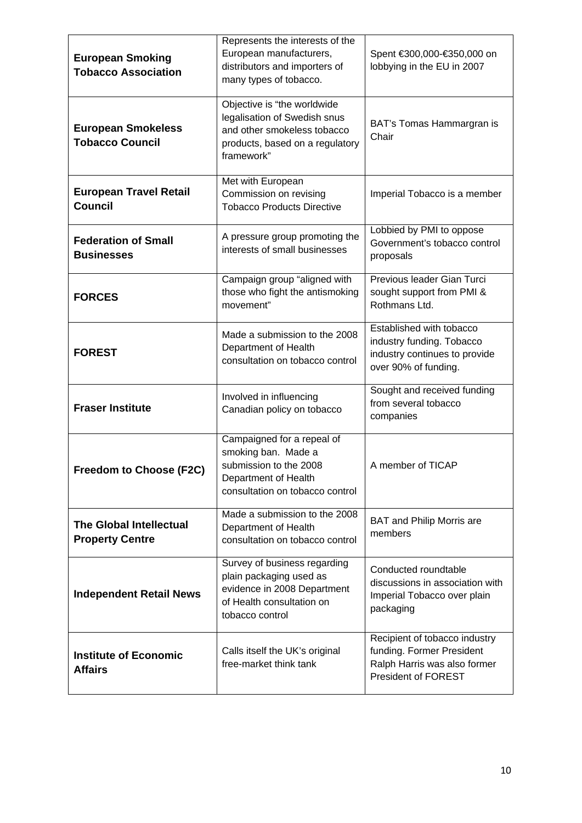| <b>European Smoking</b><br><b>Tobacco Association</b>    | Represents the interests of the<br>European manufacturers,<br>distributors and importers of<br>many types of tobacco.                                                                                                                         | Spent €300,000-€350,000 on<br>lobbying in the EU in 2007                                                       |
|----------------------------------------------------------|-----------------------------------------------------------------------------------------------------------------------------------------------------------------------------------------------------------------------------------------------|----------------------------------------------------------------------------------------------------------------|
| <b>European Smokeless</b><br><b>Tobacco Council</b>      | Objective is "the worldwide<br>legalisation of Swedish snus<br>and other smokeless tobacco<br>products, based on a regulatory<br>framework"                                                                                                   | BAT's Tomas Hammargran is<br>Chair                                                                             |
| <b>European Travel Retail</b><br><b>Council</b>          | Met with European<br>Commission on revising<br><b>Tobacco Products Directive</b>                                                                                                                                                              | Imperial Tobacco is a member                                                                                   |
| <b>Federation of Small</b><br><b>Businesses</b>          | Lobbied by PMI to oppose<br>A pressure group promoting the<br>Government's tobacco control<br>interests of small businesses<br>proposals                                                                                                      |                                                                                                                |
| <b>FORCES</b>                                            | Previous leader Gian Turci<br>Campaign group "aligned with<br>those who fight the antismoking<br>sought support from PMI &<br>Rothmans Ltd.<br>movement"                                                                                      |                                                                                                                |
| <b>FOREST</b>                                            | Made a submission to the 2008<br>Department of Health<br>consultation on tobacco control                                                                                                                                                      | Established with tobacco<br>industry funding. Tobacco<br>industry continues to provide<br>over 90% of funding. |
| <b>Fraser Institute</b>                                  | Involved in influencing<br>Canadian policy on tobacco                                                                                                                                                                                         | Sought and received funding<br>from several tobacco<br>companies                                               |
| Freedom to Choose (F2C)                                  | Campaigned for a repeal of<br>smoking ban. Made a<br>submission to the 2008<br>A member of TICAP<br>Department of Health<br>consultation on tobacco control                                                                                   |                                                                                                                |
| <b>The Global Intellectual</b><br><b>Property Centre</b> | Made a submission to the 2008<br><b>BAT and Philip Morris are</b><br>Department of Health<br>members<br>consultation on tobacco control                                                                                                       |                                                                                                                |
| <b>Independent Retail News</b>                           | Survey of business regarding<br>Conducted roundtable<br>plain packaging used as<br>discussions in association with<br>evidence in 2008 Department<br>Imperial Tobacco over plain<br>of Health consultation on<br>packaging<br>tobacco control |                                                                                                                |
| <b>Institute of Economic</b><br><b>Affairs</b>           | Recipient of tobacco industry<br>Calls itself the UK's original<br>funding. Former President<br>free-market think tank<br>Ralph Harris was also former<br><b>President of FOREST</b>                                                          |                                                                                                                |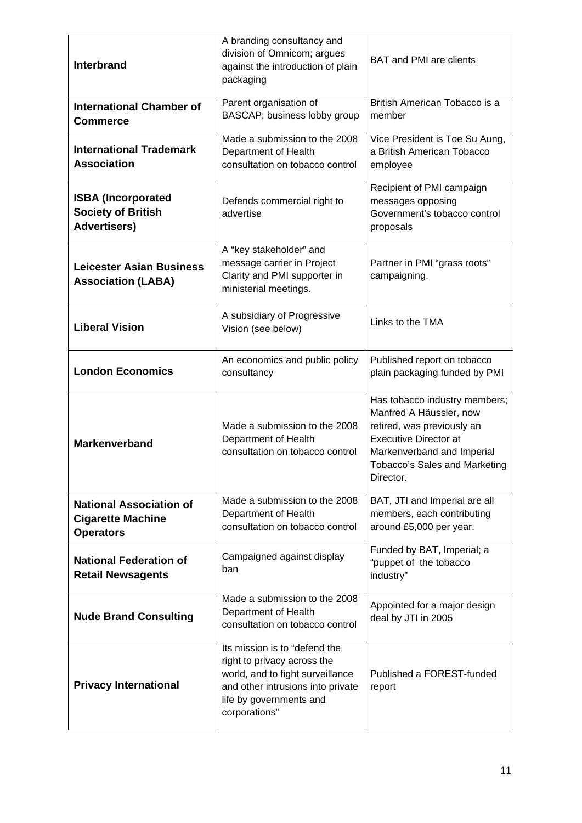| <b>Interbrand</b>                                                              | A branding consultancy and<br>division of Omnicom; argues<br><b>BAT and PMI are clients</b><br>against the introduction of plain<br>packaging                                                                            |                                                                                                                                                                                                    |  |
|--------------------------------------------------------------------------------|--------------------------------------------------------------------------------------------------------------------------------------------------------------------------------------------------------------------------|----------------------------------------------------------------------------------------------------------------------------------------------------------------------------------------------------|--|
| <b>International Chamber of</b><br><b>Commerce</b>                             | Parent organisation of<br>BASCAP; business lobby group                                                                                                                                                                   | British American Tobacco is a<br>member                                                                                                                                                            |  |
| <b>International Trademark</b><br><b>Association</b>                           | Made a submission to the 2008<br>Department of Health<br>consultation on tobacco control                                                                                                                                 | Vice President is Toe Su Aung,<br>a British American Tobacco<br>employee                                                                                                                           |  |
| <b>ISBA (Incorporated</b><br><b>Society of British</b><br><b>Advertisers)</b>  | Defends commercial right to<br>advertise                                                                                                                                                                                 | Recipient of PMI campaign<br>messages opposing<br>Government's tobacco control<br>proposals                                                                                                        |  |
| <b>Leicester Asian Business</b><br><b>Association (LABA)</b>                   | A "key stakeholder" and<br>message carrier in Project<br>Clarity and PMI supporter in<br>ministerial meetings.                                                                                                           | Partner in PMI "grass roots"<br>campaigning.                                                                                                                                                       |  |
| <b>Liberal Vision</b>                                                          | A subsidiary of Progressive<br>Links to the TMA<br>Vision (see below)                                                                                                                                                    |                                                                                                                                                                                                    |  |
| <b>London Economics</b>                                                        | An economics and public policy<br>Published report on tobacco<br>plain packaging funded by PMI<br>consultancy                                                                                                            |                                                                                                                                                                                                    |  |
| <b>Markenverband</b>                                                           | Made a submission to the 2008<br>Department of Health<br>consultation on tobacco control                                                                                                                                 | Has tobacco industry members;<br>Manfred A Häussler, now<br>retired, was previously an<br><b>Executive Director at</b><br>Markenverband and Imperial<br>Tobacco's Sales and Marketing<br>Director. |  |
| <b>National Association of</b><br><b>Cigarette Machine</b><br><b>Operators</b> | Made a submission to the 2008<br>Department of Health<br>consultation on tobacco control                                                                                                                                 | BAT, JTI and Imperial are all<br>members, each contributing<br>around £5,000 per year.                                                                                                             |  |
| <b>National Federation of</b><br><b>Retail Newsagents</b>                      | Funded by BAT, Imperial; a<br>Campaigned against display<br>"puppet of the tobacco<br>ban<br>industry"                                                                                                                   |                                                                                                                                                                                                    |  |
| <b>Nude Brand Consulting</b>                                                   | Made a submission to the 2008<br>Appointed for a major design<br>Department of Health<br>deal by JTI in 2005<br>consultation on tobacco control                                                                          |                                                                                                                                                                                                    |  |
| <b>Privacy International</b>                                                   | Its mission is to "defend the<br>right to privacy across the<br>world, and to fight surveillance<br>Published a FOREST-funded<br>and other intrusions into private<br>report<br>life by governments and<br>corporations" |                                                                                                                                                                                                    |  |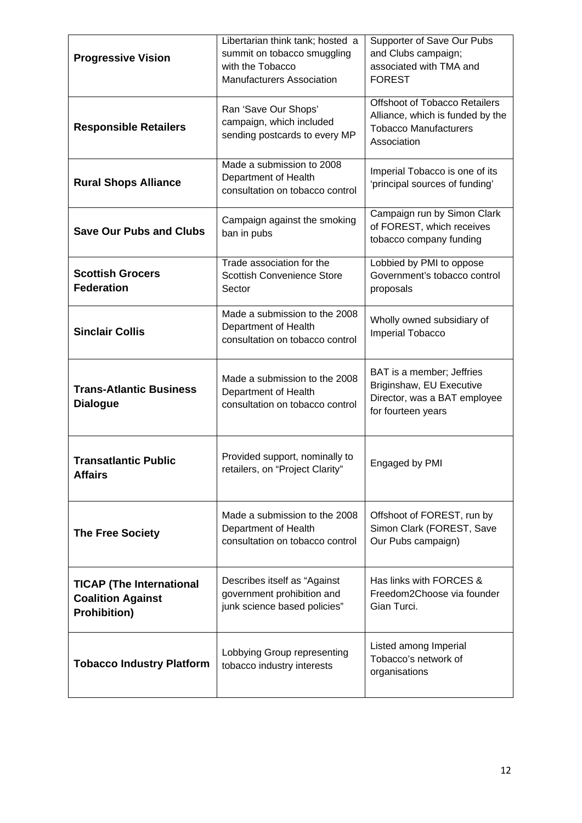| <b>Progressive Vision</b>                                                          | Libertarian think tank; hosted a<br>summit on tobacco smuggling<br>with the Tobacco<br><b>Manufacturers Association</b>                                                                                 | Supporter of Save Our Pubs<br>and Clubs campaign;<br>associated with TMA and<br><b>FOREST</b>                    |  |
|------------------------------------------------------------------------------------|---------------------------------------------------------------------------------------------------------------------------------------------------------------------------------------------------------|------------------------------------------------------------------------------------------------------------------|--|
| <b>Responsible Retailers</b>                                                       | Ran 'Save Our Shops'<br>campaign, which included<br>sending postcards to every MP                                                                                                                       | Offshoot of Tobacco Retailers<br>Alliance, which is funded by the<br><b>Tobacco Manufacturers</b><br>Association |  |
| <b>Rural Shops Alliance</b>                                                        | Made a submission to 2008<br>Department of Health<br>consultation on tobacco control                                                                                                                    | Imperial Tobacco is one of its<br>'principal sources of funding'                                                 |  |
| <b>Save Our Pubs and Clubs</b>                                                     | Campaign against the smoking<br>ban in pubs                                                                                                                                                             | Campaign run by Simon Clark<br>of FOREST, which receives<br>tobacco company funding                              |  |
| <b>Scottish Grocers</b><br><b>Federation</b>                                       | Trade association for the<br>Lobbied by PMI to oppose<br><b>Scottish Convenience Store</b><br>Government's tobacco control<br>Sector<br>proposals                                                       |                                                                                                                  |  |
| <b>Sinclair Collis</b>                                                             | Made a submission to the 2008<br>Wholly owned subsidiary of<br>Department of Health<br>Imperial Tobacco<br>consultation on tobacco control                                                              |                                                                                                                  |  |
| <b>Trans-Atlantic Business</b><br><b>Dialogue</b>                                  | BAT is a member; Jeffries<br>Made a submission to the 2008<br>Briginshaw, EU Executive<br>Department of Health<br>Director, was a BAT employee<br>consultation on tobacco control<br>for fourteen years |                                                                                                                  |  |
| <b>Transatlantic Public</b><br><b>Affairs</b>                                      | Provided support, nominally to<br>Engaged by PMI<br>retailers, on "Project Clarity"                                                                                                                     |                                                                                                                  |  |
| <b>The Free Society</b>                                                            | Made a submission to the 2008<br>Department of Health<br>consultation on tobacco control                                                                                                                | Offshoot of FOREST, run by<br>Simon Clark (FOREST, Save<br>Our Pubs campaign)                                    |  |
| <b>TICAP (The International</b><br><b>Coalition Against</b><br><b>Prohibition)</b> | Has links with FORCES &<br>Describes itself as "Against<br>government prohibition and<br>Freedom2Choose via founder<br>junk science based policies"<br>Gian Turci.                                      |                                                                                                                  |  |
| <b>Tobacco Industry Platform</b>                                                   | Listed among Imperial<br>Lobbying Group representing<br>Tobacco's network of<br>tobacco industry interests<br>organisations                                                                             |                                                                                                                  |  |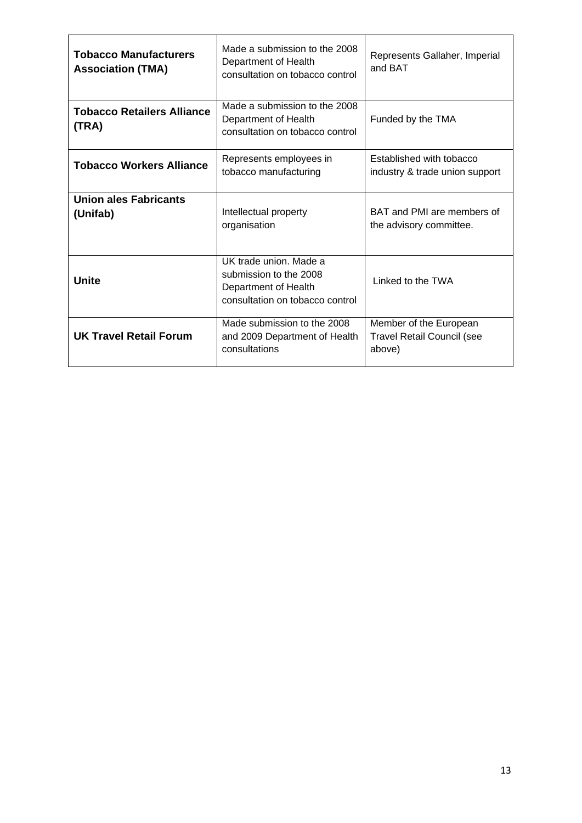| <b>Tobacco Manufacturers</b><br><b>Association (TMA)</b> | Made a submission to the 2008<br>Represents Gallaher, Imperial<br>Department of Health<br>and BAT<br>consultation on tobacco control |                                                                       |  |
|----------------------------------------------------------|--------------------------------------------------------------------------------------------------------------------------------------|-----------------------------------------------------------------------|--|
| <b>Tobacco Retailers Alliance</b><br>(TRA)               | Made a submission to the 2008<br>Department of Health<br>Funded by the TMA<br>consultation on tobacco control                        |                                                                       |  |
| <b>Tobacco Workers Alliance</b>                          | Represents employees in<br>Established with tobacco<br>tobacco manufacturing<br>industry & trade union support                       |                                                                       |  |
| <b>Union ales Fabricants</b><br>(Unifab)                 | Intellectual property<br>organisation                                                                                                | BAT and PMI are members of<br>the advisory committee.                 |  |
| <b>Unite</b>                                             | UK trade union. Made a<br>submission to the 2008<br>Department of Health<br>consultation on tobacco control                          | Linked to the TWA                                                     |  |
| <b>UK Travel Retail Forum</b>                            | Made submission to the 2008<br>and 2009 Department of Health<br>consultations                                                        | Member of the European<br><b>Travel Retail Council (see</b><br>above) |  |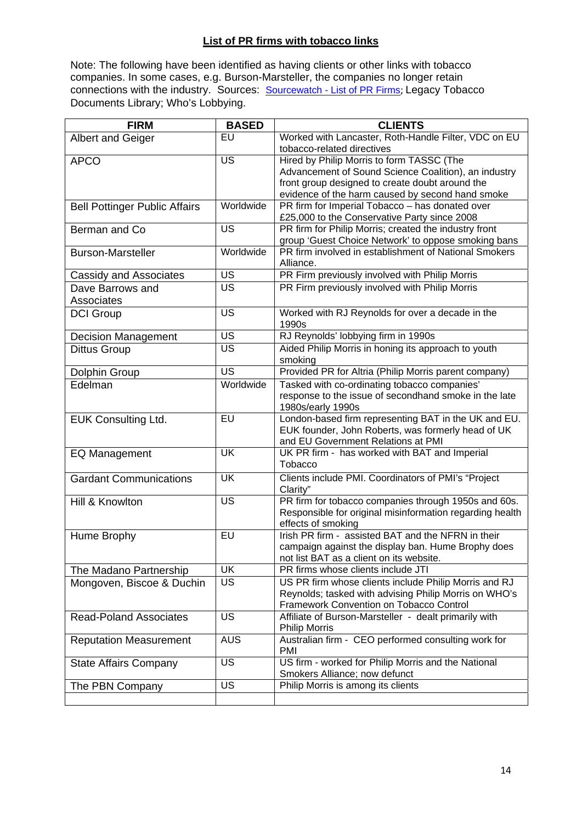## **List of PR firms with tobacco links**

Note: The following have been identified as having clients or other links with tobacco companies. In some cases, e.g. Burson-Marsteller, the companies no longer retain connections with the industry. Sources: **[Sourcewatch - List of PR Firms](http://www.sourcewatch.org/index.php?title=Public_relations_firms)**; Legacy Tobacco Documents Library; Who's Lobbying.

| <b>FIRM</b>                          | <b>BASED</b>             | <b>CLIENTS</b>                                                                |
|--------------------------------------|--------------------------|-------------------------------------------------------------------------------|
| <b>Albert and Geiger</b>             | EU                       | Worked with Lancaster, Roth-Handle Filter, VDC on EU                          |
|                                      |                          | tobacco-related directives                                                    |
| <b>APCO</b>                          | <b>US</b>                | Hired by Philip Morris to form TASSC (The                                     |
|                                      |                          | Advancement of Sound Science Coalition), an industry                          |
|                                      |                          | front group designed to create doubt around the                               |
|                                      |                          | evidence of the harm caused by second hand smoke                              |
| <b>Bell Pottinger Public Affairs</b> | Worldwide                | PR firm for Imperial Tobacco - has donated over                               |
|                                      |                          | £25,000 to the Conservative Party since 2008                                  |
| Berman and Co                        | $\overline{\mathsf{US}}$ | PR firm for Philip Morris; created the industry front                         |
|                                      |                          | group 'Guest Choice Network' to oppose smoking bans                           |
| <b>Burson-Marsteller</b>             | Worldwide                | PR firm involved in establishment of National Smokers<br>Alliance.            |
| Cassidy and Associates               | <b>US</b>                | PR Firm previously involved with Philip Morris                                |
| Dave Barrows and                     | <b>US</b>                | PR Firm previously involved with Philip Morris                                |
| Associates                           |                          |                                                                               |
| <b>DCI Group</b>                     | <b>US</b>                | Worked with RJ Reynolds for over a decade in the                              |
|                                      |                          | 1990s                                                                         |
| <b>Decision Management</b>           | US                       | RJ Reynolds' lobbying firm in 1990s                                           |
| <b>Dittus Group</b>                  | $\overline{\mathsf{US}}$ | Aided Philip Morris in honing its approach to youth                           |
|                                      |                          | smoking                                                                       |
| Dolphin Group                        | <b>US</b>                | Provided PR for Altria (Philip Morris parent company)                         |
| Edelman                              | Worldwide                | Tasked with co-ordinating tobacco companies'                                  |
|                                      |                          | response to the issue of secondhand smoke in the late                         |
|                                      |                          | 1980s/early 1990s                                                             |
| <b>EUK Consulting Ltd.</b>           | EU                       | London-based firm representing BAT in the UK and EU.                          |
|                                      |                          | EUK founder, John Roberts, was formerly head of UK                            |
|                                      |                          | and EU Government Relations at PMI                                            |
| <b>EQ Management</b>                 | <b>UK</b>                | UK PR firm - has worked with BAT and Imperial                                 |
|                                      |                          | Tobacco                                                                       |
| <b>Gardant Communications</b>        | UK                       | Clients include PMI. Coordinators of PMI's "Project                           |
|                                      |                          | Clarity"                                                                      |
| Hill & Knowlton                      | US                       | PR firm for tobacco companies through 1950s and 60s.                          |
|                                      |                          | Responsible for original misinformation regarding health                      |
|                                      |                          | effects of smoking                                                            |
| Hume Brophy                          | EU                       | Irish PR firm - assisted BAT and the NFRN in their                            |
|                                      |                          | campaign against the display ban. Hume Brophy does                            |
|                                      |                          | not list BAT as a client on its website.                                      |
| The Madano Partnership               | <b>UK</b>                | PR firms whose clients include JTI                                            |
| Mongoven, Biscoe & Duchin            | US                       | US PR firm whose clients include Philip Morris and RJ                         |
|                                      |                          | Reynolds; tasked with advising Philip Morris on WHO's                         |
|                                      |                          | Framework Convention on Tobacco Control                                       |
| <b>Read-Poland Associates</b>        | <b>US</b>                | Affiliate of Burson-Marsteller - dealt primarily with<br><b>Philip Morris</b> |
| <b>Reputation Measurement</b>        | <b>AUS</b>               | Australian firm - CEO performed consulting work for                           |
|                                      |                          | <b>PMI</b>                                                                    |
| <b>State Affairs Company</b>         | <b>US</b>                | US firm - worked for Philip Morris and the National                           |
|                                      |                          | Smokers Alliance; now defunct                                                 |
| The PBN Company                      | $\overline{US}$          | Philip Morris is among its clients                                            |
|                                      |                          |                                                                               |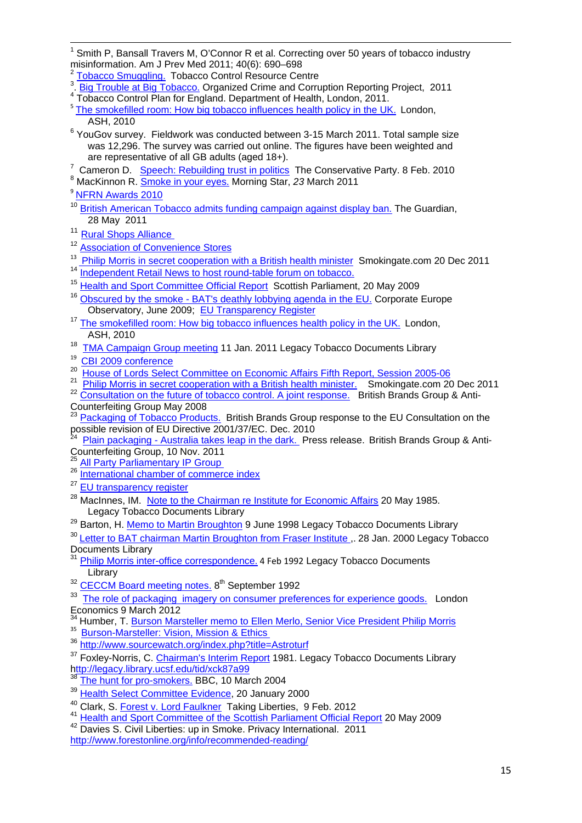<span id="page-14-1"></span><span id="page-14-0"></span><u> 1989 - Johann Barn, amerikansk politiker (d. 1989)</u> 1 Smith P, Bansall Travers M, O'Connor R et al. Correcting over 50 years of tobacco industry misinformation. Am J Prev Med 2011; 40(6): 690–698

<sup>3</sup>. [Big Trouble at Big Tobacco.](http://www.reportingproject.net/) Organized Crime and Corruption Reporting Project, 2011

<sup>4</sup> Tobacco Control Plan for England. Department of Health, London, 2011.

- <sup>5</sup> [The smokefilled room: How big tobacco influences health policy in the UK.](http://ash.org.uk/files/documents/ASH_726.pdf) London, ASH, 2010
- $6$  YouGov survey. Fieldwork was conducted between 3-15 March 2011. Total sample size was 12,296. The survey was carried out online. The figures have been weighted and are representative of all GB adults (aged 18+). are representative of all GB adults (aged 18+).<br><sup>7</sup> Comeran D. Speech: Rebuilding trust in politics

<sup>7</sup> Cameron D. <u>[Speech: Rebuilding trust in politics](http://www.conservatives.com/News/Speeches/2010/02/David_Cameron_Rebuilding_trust_in_politics.aspx)</u> The Conservative Party. 8 Feb. 2010<br><sup>8</sup> MacKinnon R. <u>Smoke in your eyes.</u> Morning Star, 23 March 2011

<sup>9</sup> [NFRN Awards 2010](https://www.nfrnonline.com/Upcoming-Events/NFRN-Awards-2011/NFRN-Awards-2010)

- <sup>10</sup> [British American Tobacco admits funding campaign against display ban.](http://www.guardian.co.uk/business/2011/may/28/british-american-tobacco-funding-ban-campaign) The Guardian, 28 May 2011
- <sup>11</sup> Rural Shops Alliance
- <sup>12</sup> [Association of Convenience Stores](http://www.acs.org.uk/en/about_acs/members/premier_club/index.cfm)
- <sup>13</sup> [Philip Morris in secret cooperation with a British health minister](http://www.smokingate.com/2011/12/20/philip-morris-in-secret-cooperation-with-a-british-health-minister-earl-howe/#more-381) Smokingate.com 20 Dec 2011<br><sup>14</sup> Independent Retail News to best round table forum on tabacco
- [Independent Retail News to host round-table forum on tobacco.](http://www.talkingretail.com/news/independent-news/independent-retail-news-to-host-round-table-forum-on-tobacco)
- <sup>15</sup> [Health and Sport Committee Official Report](http://archive.scottish.parliament.uk/s3/committees/hs/or-09/he09-1602.htm) Scottish Parliament, 20 May 2009
- <sup>16</sup> [Obscured by the smoke BAT's deathly lobbying agenda in the EU.](http://www.corporateeurope.org/publications/obscured-smoke) Corporate Europe Observatory, June 2009; [EU Transparency Register](https://webgate.ec.europa.eu/transparency/regrin/consultation/displaylobbyist.do?id=0138855852-93)
- <sup>17</sup> [The smokefilled room: How big tobacco influences health policy in the UK.](http://ash.org.uk/files/documents/ASH_726.pdf) London, ASH, 2010
- <sup>18</sup> [TMA Campaign Group meeting](http://legacy.library.ucsf.edu/tid/phy44a99) 11 Jan. 2011 Legacy Tobacco Documents Library
- 
- 
- <sup>19</sup> [CBI 2009 conference](http://www.cbi2009conference.org.uk/past_speakers.asp?ref=programme)<br>
<sup>20</sup> [House of Lords Select Committee on Economic Affairs Fifth Report, Session 2005-06](http://www.publications.parliament.uk/pa/ld200506/ldselect/ldeconaf/183/18309.htm)<br>
<sup>21</sup> [Philip Morris in secret cooperation with a British health minister.](http://www.smokingate.com/2011/12/20/philip-morris-in-secret-cooperation-with-a-british-health-minister-earl-howe/) Smokingate.com 20 Dec 2011<br>
<sup>22</sup> Co
- Counterfeiting Group May 2008

[Packaging of Tobacco Products.](http://www.britishbrandsgroup.org.uk/upload/File/BBG%20Sanco%20sub%201010.pdf) British Brands Group response to the EU Consultation on the possible revision of EU Directive 2001/37/EC. Dec. 2010

[Plain packaging - Australia takes leap in the dark.](http://www.britishbrandsgroup.org.uk/upload/File/ACG%20BBG%20Plain%20packaging%201111.doc) Press release. British Brands Group & Anti-Counterfeiting Group, 10 Nov. 2011<br><sup>25</sup> All Party Parliamentary IP Group

- <sup>26</sup> [International chamber of commerce index](http://www.iccwbo.org/id19696/index.html)
- <sup>27</sup> EU transparency register
- <sup>28</sup> MacInnes, IM. [Note to the Chairman re Institute for Economic Affairs](http://legacy.library.ucsf.edu/tid/aeg30a99/pdf?search=%22institute%20for%20economic%20affairs%22) 20 May 1985. Legacy Tobacco Documents Library

<sup>29</sup> Barton, H. [Memo to Martin Broughton](http://legacy.library.ucsf.edu/tid/umr03a99/pdf?search=%22ralph%20harris%22) 9 June 1998 Legacy Tobacco Documents Library

<sup>30</sup> Letter to BAT chairman Martin Broughton from Fraser Institute .. 28 Jan. 2000 Legacy Tobacco Documents Library

[Philip Morris inter-office correspondence.](http://legacy.library.ucsf.edu/tid/fys24e00/pdf;jsessionid=01ADFD48DAA66EF1C5F8BDEEDEDF2E5A.tobacco03) 4 Feb 1992 Legacy Tobacco Documents Library

<sup>32</sup> [CECCM Board meeting notes.](http://legacy.library.ucsf.edu/tid/plh30a99/pdf) 8<sup>th</sup> September 1992

<sup>33</sup> [The role of packaging imagery on consumer preferences for experience goods.](http://www.londecon.co.uk/publication/the-role-of-packaging-imagery-on-consumer-preferences-for-experience-goods) London Economics 9 March 2012

<sup>34</sup> Humber, T. **Burson Marsteller memo to Ellen Merlo, Senior** Vice President Philip Morris

- 
- 35 [Burson-Marsteller: Vision, Mission & Ethics](http://www.burson-marsteller.com/About_Us/Vision_Mission_Ethics/Pages/default.aspx)<br>36 <http://www.sourcewatch.org/index.php?title=Astroturf>

<sup>37</sup> Foxley-Norris, C. [Chairman's Interim Report](http://legacy.library.ucsf.edu/tid/xck87a99) 1981. Legacy Tobacco Documents Library http://legacy.library.ucsf.edu/tid/xck87a99

- [The hunt for pro-smokers.](http://news.bbc.co.uk/1/hi/magazine/3497170.stm) BBC, 10 March 2004
- 
- <sup>39</sup> [Health Select Committee Evidence,](http://www.parliament.the-stationery-office.co.uk/pa/cm199900/cmselect/cmhealth/27/0012006.htm) 20 January 2000<br><sup>40</sup> Clark, S. Forest v<u>. Lord Faulkner</u> Taking Liberties, 9 Feb. 2012

<sup>41</sup> [Health and Sport Committee of the Scottish Parliament Official Report](http://archive.scottish.parliament.uk/s3/committees/hs/or-09/he09-1602.htm) 20 May 2009 <sup>42</sup> Davies S. Civil Liberties: up in Smoke. Privacy International. 2011

<http://www.forestonline.org/info/recommended-reading/>

[Tobacco Smuggling.](http://www.tobacco-control.org/tcrc_Web_Site/Pages_tcrc/Resources/Factsheets/tobaccosmuggling.pdf) Tobacco Control Resource Centre